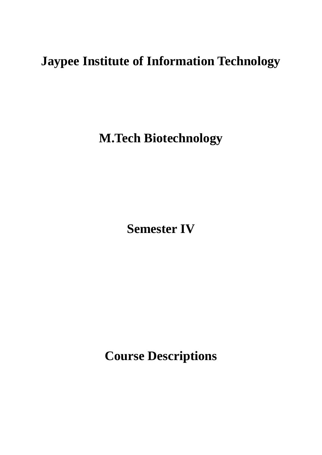## **Jaypee Institute of Information Technology**

**M.Tech Biotechnology**

**Semester IV**

**Course Descriptions**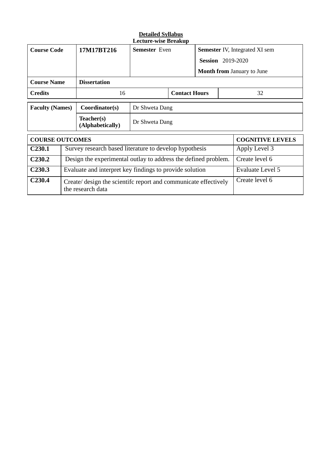| <b>Detailed Syllabus</b>                  |                                                                                      |                                |                      |                      |                                       |                         |                  |  |  |  |
|-------------------------------------------|--------------------------------------------------------------------------------------|--------------------------------|----------------------|----------------------|---------------------------------------|-------------------------|------------------|--|--|--|
| <b>Lecture-wise Breakup</b>               |                                                                                      |                                |                      |                      |                                       |                         |                  |  |  |  |
| <b>Course Code</b>                        |                                                                                      | 17M17BT216                     | <b>Semester</b> Even |                      | <b>Semester IV, Integrated XI sem</b> |                         |                  |  |  |  |
|                                           |                                                                                      |                                |                      |                      | <b>Session</b> 2019-2020              |                         |                  |  |  |  |
|                                           |                                                                                      |                                |                      |                      | <b>Month from January to June</b>     |                         |                  |  |  |  |
| <b>Course Name</b><br><b>Dissertation</b> |                                                                                      |                                |                      |                      |                                       |                         |                  |  |  |  |
| <b>Credits</b>                            |                                                                                      | 16                             |                      | <b>Contact Hours</b> |                                       |                         | 32               |  |  |  |
| <b>Faculty (Names)</b>                    |                                                                                      | Coordinator(s)                 | Dr Shweta Dang       |                      |                                       |                         |                  |  |  |  |
|                                           |                                                                                      | Teacher(s)<br>(Alphabetically) | Dr Shweta Dang       |                      |                                       |                         |                  |  |  |  |
| <b>COURSE OUTCOMES</b>                    |                                                                                      |                                |                      |                      |                                       | <b>COGNITIVE LEVELS</b> |                  |  |  |  |
| C <sub>230.1</sub>                        | Survey research based literature to develop hypothesis                               |                                |                      |                      |                                       |                         | Apply Level 3    |  |  |  |
| C <sub>230.2</sub>                        | Design the experimental outlay to address the defined problem.                       |                                |                      |                      |                                       |                         | Create level 6   |  |  |  |
| C <sub>230.3</sub>                        | Evaluate and interpret key findings to provide solution                              |                                |                      |                      |                                       |                         | Evaluate Level 5 |  |  |  |
| C <sub>230.4</sub>                        | Create/ design the scientifc report and communicate effectively<br>the research data |                                |                      |                      |                                       |                         | Create level 6   |  |  |  |